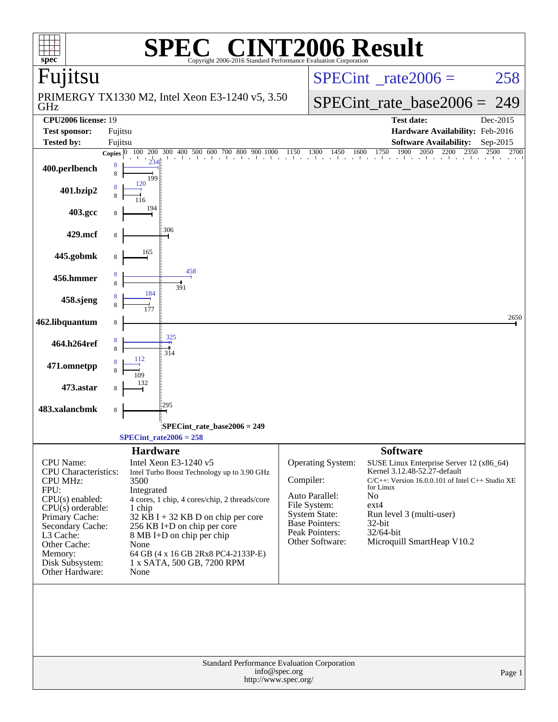| $spec^*$                                                                                                                                                                                                                            |         |                                                                                          | $\mathbf{P}(R)$<br>Copyright 2006-2016 Standard Performance Evaluation Corporation                                                                                                                                                                                   |               |                                                                                                                                           | <b>NT2006 Result</b>                                                                                                                                                                                                                                                 |          |
|-------------------------------------------------------------------------------------------------------------------------------------------------------------------------------------------------------------------------------------|---------|------------------------------------------------------------------------------------------|----------------------------------------------------------------------------------------------------------------------------------------------------------------------------------------------------------------------------------------------------------------------|---------------|-------------------------------------------------------------------------------------------------------------------------------------------|----------------------------------------------------------------------------------------------------------------------------------------------------------------------------------------------------------------------------------------------------------------------|----------|
| Fujitsu                                                                                                                                                                                                                             |         |                                                                                          |                                                                                                                                                                                                                                                                      |               |                                                                                                                                           | $SPECint^{\circ}$ <sub>_rate2006</sub> =                                                                                                                                                                                                                             | 258      |
| GHz                                                                                                                                                                                                                                 |         |                                                                                          | PRIMERGY TX1330 M2, Intel Xeon E3-1240 v5, 3.50                                                                                                                                                                                                                      |               |                                                                                                                                           | $SPECint_rate\_base2006 =$                                                                                                                                                                                                                                           | 249      |
| <b>CPU2006</b> license: 19                                                                                                                                                                                                          |         |                                                                                          |                                                                                                                                                                                                                                                                      |               |                                                                                                                                           | <b>Test date:</b>                                                                                                                                                                                                                                                    | Dec-2015 |
| <b>Test sponsor:</b>                                                                                                                                                                                                                | Fujitsu |                                                                                          |                                                                                                                                                                                                                                                                      |               |                                                                                                                                           | Hardware Availability: Feb-2016                                                                                                                                                                                                                                      |          |
| <b>Tested by:</b>                                                                                                                                                                                                                   | Fujitsu |                                                                                          |                                                                                                                                                                                                                                                                      |               |                                                                                                                                           | <b>Software Availability:</b>                                                                                                                                                                                                                                        | Sep-2015 |
| 400.perlbench                                                                                                                                                                                                                       | 8<br>8  | 199                                                                                      |                                                                                                                                                                                                                                                                      |               |                                                                                                                                           | <b>Copies</b> $\begin{bmatrix} 0 & 100 & 200 & 300 & 400 & 500 & 600 & 700 & 800 & 900 & 1000 & 1150 & 1300 & 1450 & 1600 & 1750 & 1900 & 2050 & 2200 & 2350 & 2500 \end{bmatrix}$                                                                                   | 2700     |
| 401.bzip2                                                                                                                                                                                                                           |         | 120                                                                                      |                                                                                                                                                                                                                                                                      |               |                                                                                                                                           |                                                                                                                                                                                                                                                                      |          |
| 403.gcc                                                                                                                                                                                                                             |         | 194                                                                                      |                                                                                                                                                                                                                                                                      |               |                                                                                                                                           |                                                                                                                                                                                                                                                                      |          |
| 429.mcf                                                                                                                                                                                                                             | 8       | 306                                                                                      |                                                                                                                                                                                                                                                                      |               |                                                                                                                                           |                                                                                                                                                                                                                                                                      |          |
| 445.gobmk                                                                                                                                                                                                                           | 8       | 165                                                                                      | 458                                                                                                                                                                                                                                                                  |               |                                                                                                                                           |                                                                                                                                                                                                                                                                      |          |
| 456.hmmer                                                                                                                                                                                                                           |         | 184                                                                                      | 391                                                                                                                                                                                                                                                                  |               |                                                                                                                                           |                                                                                                                                                                                                                                                                      |          |
| 458.sjeng                                                                                                                                                                                                                           |         |                                                                                          |                                                                                                                                                                                                                                                                      |               |                                                                                                                                           |                                                                                                                                                                                                                                                                      | 2650     |
| 462.libquantum<br>464.h264ref                                                                                                                                                                                                       | 8       | 325                                                                                      |                                                                                                                                                                                                                                                                      |               |                                                                                                                                           |                                                                                                                                                                                                                                                                      |          |
| 471.omnetpp                                                                                                                                                                                                                         | 8       | 314                                                                                      |                                                                                                                                                                                                                                                                      |               |                                                                                                                                           |                                                                                                                                                                                                                                                                      |          |
| 473.astar                                                                                                                                                                                                                           |         |                                                                                          |                                                                                                                                                                                                                                                                      |               |                                                                                                                                           |                                                                                                                                                                                                                                                                      |          |
| 483.xalancbmk                                                                                                                                                                                                                       | 8       | 295                                                                                      |                                                                                                                                                                                                                                                                      |               |                                                                                                                                           |                                                                                                                                                                                                                                                                      |          |
|                                                                                                                                                                                                                                     |         | $SPECint_rate2006 = 258$                                                                 | SPECint_rate_base2006 = 249                                                                                                                                                                                                                                          |               |                                                                                                                                           |                                                                                                                                                                                                                                                                      |          |
| CPU Name:<br><b>CPU</b> Characteristics:<br><b>CPU MHz:</b><br>FPU:<br>$CPU(s)$ enabled:<br>$CPU(s)$ orderable:<br>Primary Cache:<br>Secondary Cache:<br>L3 Cache:<br>Other Cache:<br>Memory:<br>Disk Subsystem:<br>Other Hardware: |         | <b>Hardware</b><br>Intel Xeon E3-1240 v5<br>3500<br>Integrated<br>1 chip<br>None<br>None | Intel Turbo Boost Technology up to 3.90 GHz<br>4 cores, 1 chip, 4 cores/chip, 2 threads/core<br>$32$ KB I + 32 KB D on chip per core<br>256 KB I+D on chip per core<br>8 MB I+D on chip per chip<br>64 GB (4 x 16 GB 2Rx8 PC4-2133P-E)<br>1 x SATA, 500 GB, 7200 RPM | Compiler:     | Operating System:<br>Auto Parallel:<br>File System:<br><b>System State:</b><br><b>Base Pointers:</b><br>Peak Pointers:<br>Other Software: | <b>Software</b><br>SUSE Linux Enterprise Server 12 (x86_64)<br>Kernel 3.12.48-52.27-default<br>$C/C++$ : Version 16.0.0.101 of Intel $C++$ Studio XE<br>for Linux<br>No<br>$ext{4}$<br>Run level 3 (multi-user)<br>32-bit<br>32/64-bit<br>Microquill SmartHeap V10.2 |          |
|                                                                                                                                                                                                                                     |         |                                                                                          | Standard Performance Evaluation Corporation<br>http://www.spec.org/                                                                                                                                                                                                  | info@spec.org |                                                                                                                                           |                                                                                                                                                                                                                                                                      | Page 1   |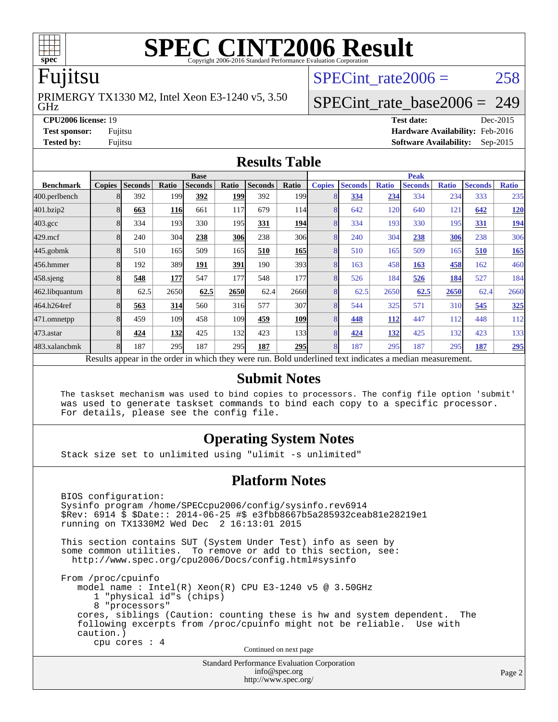

# **[SPEC CINT2006 Result](http://www.spec.org/auto/cpu2006/Docs/result-fields.html#SPECCINT2006Result)**

### Fujitsu

GHz PRIMERGY TX1330 M2, Intel Xeon E3-1240 v5, 3.50 SPECint rate $2006 = 258$ 

### [SPECint\\_rate\\_base2006 =](http://www.spec.org/auto/cpu2006/Docs/result-fields.html#SPECintratebase2006) 249

**[CPU2006 license:](http://www.spec.org/auto/cpu2006/Docs/result-fields.html#CPU2006license)** 19 **[Test date:](http://www.spec.org/auto/cpu2006/Docs/result-fields.html#Testdate)** Dec-2015 **[Test sponsor:](http://www.spec.org/auto/cpu2006/Docs/result-fields.html#Testsponsor)** Fujitsu **[Hardware Availability:](http://www.spec.org/auto/cpu2006/Docs/result-fields.html#HardwareAvailability)** Feb-2016 **[Tested by:](http://www.spec.org/auto/cpu2006/Docs/result-fields.html#Testedby)** Fujitsu **[Software Availability:](http://www.spec.org/auto/cpu2006/Docs/result-fields.html#SoftwareAvailability)** Sep-2015

### **[Results Table](http://www.spec.org/auto/cpu2006/Docs/result-fields.html#ResultsTable)**

|                                                                                                          | <b>Base</b>   |                |       |                |            | <b>Peak</b>    |                  |               |                |              |                |              |                |              |
|----------------------------------------------------------------------------------------------------------|---------------|----------------|-------|----------------|------------|----------------|------------------|---------------|----------------|--------------|----------------|--------------|----------------|--------------|
| <b>Benchmark</b>                                                                                         | <b>Copies</b> | <b>Seconds</b> | Ratio | <b>Seconds</b> | Ratio      | <b>Seconds</b> | Ratio            | <b>Copies</b> | <b>Seconds</b> | <b>Ratio</b> | <b>Seconds</b> | <b>Ratio</b> | <b>Seconds</b> | <b>Ratio</b> |
| 400.perlbench                                                                                            | 8             | 392            | 199   | 392            | <b>199</b> | 392            | 199 <sub>1</sub> | 8             | 334            | 234          | 334            | 234          | 333            | 235          |
| 401.bzip2                                                                                                | 8             | 663            | 116   | 661            | 117        | 679            | 114              | 8             | 642            | 120          | 640            | 121          | 642            | <u>120</u>   |
| $403.\mathrm{gcc}$                                                                                       | 8             | 334            | 193   | 330            | 195I       | 331            | <b>194</b>       | 8             | 334            | 193          | 330            | 195          | <u>331</u>     | <u>194</u>   |
| $429$ .mcf                                                                                               | 8             | 240            | 304   | 238            | 306l       | 238            | 306              | 8             | 240            | 304          | 238            | 306          | 238            | 306          |
| $445$ .gobm $k$                                                                                          | 8             | 510            | 165   | 509            | 165        | 510            | <u>165</u>       | 8             | 510            | 165          | 509            | 165          | 510            | <b>165</b>   |
| 456.hmmer                                                                                                | 8             | 192            | 389   | 191            | 391        | 190            | 393 <sup>I</sup> | 8             | 163            | 458          | 163            | 458          | 162            | 460          |
| $458$ .sjeng                                                                                             | 8             | 548            | 177   | 547            | 177        | 548            | 177              | 8             | 526            | 184          | 526            | 184          | 527            | 184          |
| 462.libquantum                                                                                           | 8             | 62.5           | 2650  | 62.5           | 2650       | 62.4           | 2660l            | 8             | 62.5           | 2650         | 62.5           | 2650         | 62.4           | 2660         |
| 464.h264ref                                                                                              | 8             | 563            | 314   | 560            | 316        | 577            | 307              | 8             | 544            | 325          | 571            | 310          | 545            | 325          |
| 471.omnetpp                                                                                              | 8             | 459            | 109   | 458            | 109        | 459            | <b>109</b>       | 8             | 448            | 112          | 447            | 112          | 448            | 112          |
| $473$ . astar                                                                                            | 8             | 424            | 132   | 425            | 132        | 423            | 133              | 8             | 424            | 132          | 425            | 132          | 423            | 133          |
| 483.xalancbmk                                                                                            | 8             | 187            | 295   | 187            | 295        | 187            | <b>295</b>       | 8             | 187            | 295          | 187            | 295          | 187            | <u>295</u>   |
| Results appear in the order in which they were run. Bold underlined text indicates a median measurement. |               |                |       |                |            |                |                  |               |                |              |                |              |                |              |

### **[Submit Notes](http://www.spec.org/auto/cpu2006/Docs/result-fields.html#SubmitNotes)**

 The taskset mechanism was used to bind copies to processors. The config file option 'submit' was used to generate taskset commands to bind each copy to a specific processor. For details, please see the config file.

### **[Operating System Notes](http://www.spec.org/auto/cpu2006/Docs/result-fields.html#OperatingSystemNotes)**

Stack size set to unlimited using "ulimit -s unlimited"

### **[Platform Notes](http://www.spec.org/auto/cpu2006/Docs/result-fields.html#PlatformNotes)**

 BIOS configuration: Sysinfo program /home/SPECcpu2006/config/sysinfo.rev6914 \$Rev: 6914 \$ \$Date:: 2014-06-25 #\$ e3fbb8667b5a285932ceab81e28219e1 running on TX1330M2 Wed Dec 2 16:13:01 2015 This section contains SUT (System Under Test) info as seen by some common utilities. To remove or add to this section, see: <http://www.spec.org/cpu2006/Docs/config.html#sysinfo> From /proc/cpuinfo model name : Intel(R) Xeon(R) CPU E3-1240 v5 @ 3.50GHz 1 "physical id"s (chips) 8 "processors" cores, siblings (Caution: counting these is hw and system dependent. The following excerpts from /proc/cpuinfo might not be reliable. Use with caution.) cpu cores : 4 Continued on next page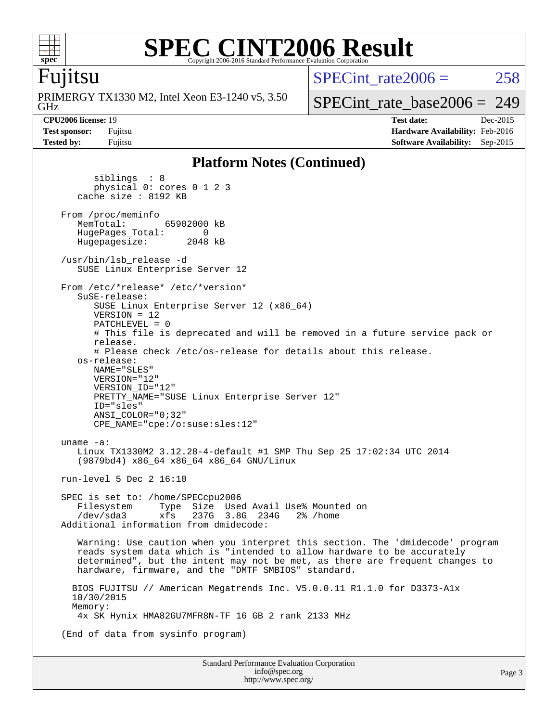

### **[SPEC CINT2006 Result](http://www.spec.org/auto/cpu2006/Docs/result-fields.html#SPECCINT2006Result)** Copyright 2006-2016 Standard Performance Evaluation Corporation

### Fujitsu

GHz PRIMERGY TX1330 M2, Intel Xeon E3-1240 v5, 3.50 SPECint rate $2006 = 258$ 

[SPECint\\_rate\\_base2006 =](http://www.spec.org/auto/cpu2006/Docs/result-fields.html#SPECintratebase2006) 249

**[CPU2006 license:](http://www.spec.org/auto/cpu2006/Docs/result-fields.html#CPU2006license)** 19 **[Test date:](http://www.spec.org/auto/cpu2006/Docs/result-fields.html#Testdate)** Dec-2015 **[Test sponsor:](http://www.spec.org/auto/cpu2006/Docs/result-fields.html#Testsponsor)** Fujitsu **[Hardware Availability:](http://www.spec.org/auto/cpu2006/Docs/result-fields.html#HardwareAvailability)** Feb-2016 **[Tested by:](http://www.spec.org/auto/cpu2006/Docs/result-fields.html#Testedby)** Fujitsu **[Software Availability:](http://www.spec.org/auto/cpu2006/Docs/result-fields.html#SoftwareAvailability)** Sep-2015

### **[Platform Notes \(Continued\)](http://www.spec.org/auto/cpu2006/Docs/result-fields.html#PlatformNotes)**

 siblings : 8 physical 0: cores 0 1 2 3 cache size : 8192 KB From /proc/meminfo<br>MemTotal: 65902000 kB HugePages\_Total: 0<br>Hugepagesize: 2048 kB Hugepagesize: /usr/bin/lsb\_release -d SUSE Linux Enterprise Server 12 From /etc/\*release\* /etc/\*version\* SuSE-release: SUSE Linux Enterprise Server 12 (x86\_64) VERSION = 12 PATCHLEVEL = 0 # This file is deprecated and will be removed in a future service pack or release. # Please check /etc/os-release for details about this release. os-release: NAME="SLES" VERSION="12" VERSION\_ID="12" PRETTY NAME="SUSE Linux Enterprise Server 12" ID="sles" ANSI\_COLOR="0;32" CPE\_NAME="cpe:/o:suse:sles:12" uname -a: Linux TX1330M2 3.12.28-4-default #1 SMP Thu Sep 25 17:02:34 UTC 2014 (9879bd4) x86\_64 x86\_64 x86\_64 GNU/Linux run-level 5 Dec 2 16:10 SPEC is set to: /home/SPECcpu2006 Filesystem Type Size Used Avail Use% Mounted on /dev/sda3 xfs 237G 3.8G 234G 2% /home Additional information from dmidecode: Warning: Use caution when you interpret this section. The 'dmidecode' program reads system data which is "intended to allow hardware to be accurately determined", but the intent may not be met, as there are frequent changes to hardware, firmware, and the "DMTF SMBIOS" standard. BIOS FUJITSU // American Megatrends Inc. V5.0.0.11 R1.1.0 for D3373-A1x 10/30/2015 Memory: 4x SK Hynix HMA82GU7MFR8N-TF 16 GB 2 rank 2133 MHz (End of data from sysinfo program)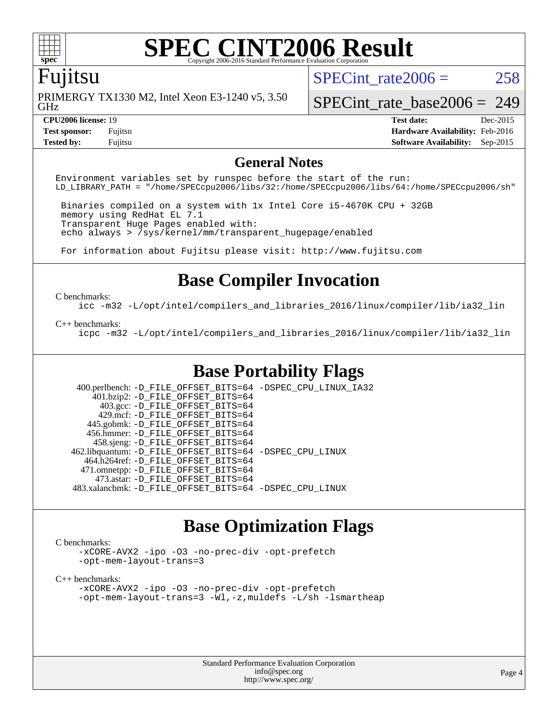

## **[SPEC CINT2006 Result](http://www.spec.org/auto/cpu2006/Docs/result-fields.html#SPECCINT2006Result)**

### Fujitsu

GHz PRIMERGY TX1330 M2, Intel Xeon E3-1240 v5, 3.50 SPECint rate $2006 = 258$ 

[SPECint\\_rate\\_base2006 =](http://www.spec.org/auto/cpu2006/Docs/result-fields.html#SPECintratebase2006) 249

**[Tested by:](http://www.spec.org/auto/cpu2006/Docs/result-fields.html#Testedby)** Fujitsu **[Software Availability:](http://www.spec.org/auto/cpu2006/Docs/result-fields.html#SoftwareAvailability)** Sep-2015

**[CPU2006 license:](http://www.spec.org/auto/cpu2006/Docs/result-fields.html#CPU2006license)** 19 **[Test date:](http://www.spec.org/auto/cpu2006/Docs/result-fields.html#Testdate)** Dec-2015 **[Test sponsor:](http://www.spec.org/auto/cpu2006/Docs/result-fields.html#Testsponsor)** Fujitsu **[Hardware Availability:](http://www.spec.org/auto/cpu2006/Docs/result-fields.html#HardwareAvailability)** Feb-2016

### **[General Notes](http://www.spec.org/auto/cpu2006/Docs/result-fields.html#GeneralNotes)**

Environment variables set by runspec before the start of the run: LD\_LIBRARY\_PATH = "/home/SPECcpu2006/libs/32:/home/SPECcpu2006/libs/64:/home/SPECcpu2006/sh"

 Binaries compiled on a system with 1x Intel Core i5-4670K CPU + 32GB memory using RedHat EL 7.1 Transparent Huge Pages enabled with: echo always > /sys/kernel/mm/transparent\_hugepage/enabled

For information about Fujitsu please visit: <http://www.fujitsu.com>

### **[Base Compiler Invocation](http://www.spec.org/auto/cpu2006/Docs/result-fields.html#BaseCompilerInvocation)**

#### [C benchmarks](http://www.spec.org/auto/cpu2006/Docs/result-fields.html#Cbenchmarks):

[icc -m32 -L/opt/intel/compilers\\_and\\_libraries\\_2016/linux/compiler/lib/ia32\\_lin](http://www.spec.org/cpu2006/results/res2016q1/cpu2006-20160111-38704.flags.html#user_CCbase_intel_icc_e10256ba5924b668798078a321b0cb3f)

#### [C++ benchmarks:](http://www.spec.org/auto/cpu2006/Docs/result-fields.html#CXXbenchmarks)

[icpc -m32 -L/opt/intel/compilers\\_and\\_libraries\\_2016/linux/compiler/lib/ia32\\_lin](http://www.spec.org/cpu2006/results/res2016q1/cpu2006-20160111-38704.flags.html#user_CXXbase_intel_icpc_b4f50a394bdb4597aa5879c16bc3f5c5)

### **[Base Portability Flags](http://www.spec.org/auto/cpu2006/Docs/result-fields.html#BasePortabilityFlags)**

 400.perlbench: [-D\\_FILE\\_OFFSET\\_BITS=64](http://www.spec.org/cpu2006/results/res2016q1/cpu2006-20160111-38704.flags.html#user_basePORTABILITY400_perlbench_file_offset_bits_64_438cf9856305ebd76870a2c6dc2689ab) [-DSPEC\\_CPU\\_LINUX\\_IA32](http://www.spec.org/cpu2006/results/res2016q1/cpu2006-20160111-38704.flags.html#b400.perlbench_baseCPORTABILITY_DSPEC_CPU_LINUX_IA32) 401.bzip2: [-D\\_FILE\\_OFFSET\\_BITS=64](http://www.spec.org/cpu2006/results/res2016q1/cpu2006-20160111-38704.flags.html#user_basePORTABILITY401_bzip2_file_offset_bits_64_438cf9856305ebd76870a2c6dc2689ab) 403.gcc: [-D\\_FILE\\_OFFSET\\_BITS=64](http://www.spec.org/cpu2006/results/res2016q1/cpu2006-20160111-38704.flags.html#user_basePORTABILITY403_gcc_file_offset_bits_64_438cf9856305ebd76870a2c6dc2689ab) 429.mcf: [-D\\_FILE\\_OFFSET\\_BITS=64](http://www.spec.org/cpu2006/results/res2016q1/cpu2006-20160111-38704.flags.html#user_basePORTABILITY429_mcf_file_offset_bits_64_438cf9856305ebd76870a2c6dc2689ab) 445.gobmk: [-D\\_FILE\\_OFFSET\\_BITS=64](http://www.spec.org/cpu2006/results/res2016q1/cpu2006-20160111-38704.flags.html#user_basePORTABILITY445_gobmk_file_offset_bits_64_438cf9856305ebd76870a2c6dc2689ab) 456.hmmer: [-D\\_FILE\\_OFFSET\\_BITS=64](http://www.spec.org/cpu2006/results/res2016q1/cpu2006-20160111-38704.flags.html#user_basePORTABILITY456_hmmer_file_offset_bits_64_438cf9856305ebd76870a2c6dc2689ab) 458.sjeng: [-D\\_FILE\\_OFFSET\\_BITS=64](http://www.spec.org/cpu2006/results/res2016q1/cpu2006-20160111-38704.flags.html#user_basePORTABILITY458_sjeng_file_offset_bits_64_438cf9856305ebd76870a2c6dc2689ab) 462.libquantum: [-D\\_FILE\\_OFFSET\\_BITS=64](http://www.spec.org/cpu2006/results/res2016q1/cpu2006-20160111-38704.flags.html#user_basePORTABILITY462_libquantum_file_offset_bits_64_438cf9856305ebd76870a2c6dc2689ab) [-DSPEC\\_CPU\\_LINUX](http://www.spec.org/cpu2006/results/res2016q1/cpu2006-20160111-38704.flags.html#b462.libquantum_baseCPORTABILITY_DSPEC_CPU_LINUX) 464.h264ref: [-D\\_FILE\\_OFFSET\\_BITS=64](http://www.spec.org/cpu2006/results/res2016q1/cpu2006-20160111-38704.flags.html#user_basePORTABILITY464_h264ref_file_offset_bits_64_438cf9856305ebd76870a2c6dc2689ab) 471.omnetpp: [-D\\_FILE\\_OFFSET\\_BITS=64](http://www.spec.org/cpu2006/results/res2016q1/cpu2006-20160111-38704.flags.html#user_basePORTABILITY471_omnetpp_file_offset_bits_64_438cf9856305ebd76870a2c6dc2689ab) 473.astar: [-D\\_FILE\\_OFFSET\\_BITS=64](http://www.spec.org/cpu2006/results/res2016q1/cpu2006-20160111-38704.flags.html#user_basePORTABILITY473_astar_file_offset_bits_64_438cf9856305ebd76870a2c6dc2689ab) 483.xalancbmk: [-D\\_FILE\\_OFFSET\\_BITS=64](http://www.spec.org/cpu2006/results/res2016q1/cpu2006-20160111-38704.flags.html#user_basePORTABILITY483_xalancbmk_file_offset_bits_64_438cf9856305ebd76870a2c6dc2689ab) [-DSPEC\\_CPU\\_LINUX](http://www.spec.org/cpu2006/results/res2016q1/cpu2006-20160111-38704.flags.html#b483.xalancbmk_baseCXXPORTABILITY_DSPEC_CPU_LINUX)

### **[Base Optimization Flags](http://www.spec.org/auto/cpu2006/Docs/result-fields.html#BaseOptimizationFlags)**

#### [C benchmarks](http://www.spec.org/auto/cpu2006/Docs/result-fields.html#Cbenchmarks):

[-xCORE-AVX2](http://www.spec.org/cpu2006/results/res2016q1/cpu2006-20160111-38704.flags.html#user_CCbase_f-xAVX2_5f5fc0cbe2c9f62c816d3e45806c70d7) [-ipo](http://www.spec.org/cpu2006/results/res2016q1/cpu2006-20160111-38704.flags.html#user_CCbase_f-ipo) [-O3](http://www.spec.org/cpu2006/results/res2016q1/cpu2006-20160111-38704.flags.html#user_CCbase_f-O3) [-no-prec-div](http://www.spec.org/cpu2006/results/res2016q1/cpu2006-20160111-38704.flags.html#user_CCbase_f-no-prec-div) [-opt-prefetch](http://www.spec.org/cpu2006/results/res2016q1/cpu2006-20160111-38704.flags.html#user_CCbase_f-opt-prefetch) [-opt-mem-layout-trans=3](http://www.spec.org/cpu2006/results/res2016q1/cpu2006-20160111-38704.flags.html#user_CCbase_f-opt-mem-layout-trans_a7b82ad4bd7abf52556d4961a2ae94d5)

#### [C++ benchmarks:](http://www.spec.org/auto/cpu2006/Docs/result-fields.html#CXXbenchmarks)

[-xCORE-AVX2](http://www.spec.org/cpu2006/results/res2016q1/cpu2006-20160111-38704.flags.html#user_CXXbase_f-xAVX2_5f5fc0cbe2c9f62c816d3e45806c70d7) [-ipo](http://www.spec.org/cpu2006/results/res2016q1/cpu2006-20160111-38704.flags.html#user_CXXbase_f-ipo) [-O3](http://www.spec.org/cpu2006/results/res2016q1/cpu2006-20160111-38704.flags.html#user_CXXbase_f-O3) [-no-prec-div](http://www.spec.org/cpu2006/results/res2016q1/cpu2006-20160111-38704.flags.html#user_CXXbase_f-no-prec-div) [-opt-prefetch](http://www.spec.org/cpu2006/results/res2016q1/cpu2006-20160111-38704.flags.html#user_CXXbase_f-opt-prefetch) [-opt-mem-layout-trans=3](http://www.spec.org/cpu2006/results/res2016q1/cpu2006-20160111-38704.flags.html#user_CXXbase_f-opt-mem-layout-trans_a7b82ad4bd7abf52556d4961a2ae94d5) [-Wl,-z,muldefs](http://www.spec.org/cpu2006/results/res2016q1/cpu2006-20160111-38704.flags.html#user_CXXbase_link_force_multiple1_74079c344b956b9658436fd1b6dd3a8a) [-L/sh -lsmartheap](http://www.spec.org/cpu2006/results/res2016q1/cpu2006-20160111-38704.flags.html#user_CXXbase_SmartHeap_32f6c82aa1ed9c52345d30cf6e4a0499)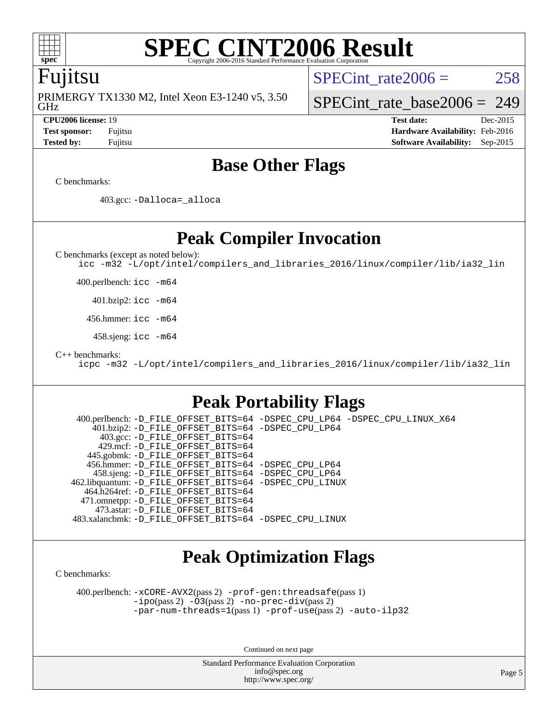

### **[SPEC CINT2006 Result](http://www.spec.org/auto/cpu2006/Docs/result-fields.html#SPECCINT2006Result)** Copyright 2006-2016 Standard Performance Evaluation

### Fujitsu

GHz PRIMERGY TX1330 M2, Intel Xeon E3-1240 v5, 3.50 SPECint rate $2006 = 258$ 

[SPECint\\_rate\\_base2006 =](http://www.spec.org/auto/cpu2006/Docs/result-fields.html#SPECintratebase2006) 249

**[CPU2006 license:](http://www.spec.org/auto/cpu2006/Docs/result-fields.html#CPU2006license)** 19 **[Test date:](http://www.spec.org/auto/cpu2006/Docs/result-fields.html#Testdate)** Dec-2015 **[Test sponsor:](http://www.spec.org/auto/cpu2006/Docs/result-fields.html#Testsponsor)** Fujitsu **[Hardware Availability:](http://www.spec.org/auto/cpu2006/Docs/result-fields.html#HardwareAvailability)** Feb-2016 **[Tested by:](http://www.spec.org/auto/cpu2006/Docs/result-fields.html#Testedby)** Fujitsu **[Software Availability:](http://www.spec.org/auto/cpu2006/Docs/result-fields.html#SoftwareAvailability)** Sep-2015

### **[Base Other Flags](http://www.spec.org/auto/cpu2006/Docs/result-fields.html#BaseOtherFlags)**

[C benchmarks](http://www.spec.org/auto/cpu2006/Docs/result-fields.html#Cbenchmarks):

403.gcc: [-Dalloca=\\_alloca](http://www.spec.org/cpu2006/results/res2016q1/cpu2006-20160111-38704.flags.html#b403.gcc_baseEXTRA_CFLAGS_Dalloca_be3056838c12de2578596ca5467af7f3)

**[Peak Compiler Invocation](http://www.spec.org/auto/cpu2006/Docs/result-fields.html#PeakCompilerInvocation)**

[C benchmarks \(except as noted below\)](http://www.spec.org/auto/cpu2006/Docs/result-fields.html#Cbenchmarksexceptasnotedbelow):

[icc -m32 -L/opt/intel/compilers\\_and\\_libraries\\_2016/linux/compiler/lib/ia32\\_lin](http://www.spec.org/cpu2006/results/res2016q1/cpu2006-20160111-38704.flags.html#user_CCpeak_intel_icc_e10256ba5924b668798078a321b0cb3f)

400.perlbench: [icc -m64](http://www.spec.org/cpu2006/results/res2016q1/cpu2006-20160111-38704.flags.html#user_peakCCLD400_perlbench_intel_icc_64bit_bda6cc9af1fdbb0edc3795bac97ada53)

401.bzip2: [icc -m64](http://www.spec.org/cpu2006/results/res2016q1/cpu2006-20160111-38704.flags.html#user_peakCCLD401_bzip2_intel_icc_64bit_bda6cc9af1fdbb0edc3795bac97ada53)

456.hmmer: [icc -m64](http://www.spec.org/cpu2006/results/res2016q1/cpu2006-20160111-38704.flags.html#user_peakCCLD456_hmmer_intel_icc_64bit_bda6cc9af1fdbb0edc3795bac97ada53)

458.sjeng: [icc -m64](http://www.spec.org/cpu2006/results/res2016q1/cpu2006-20160111-38704.flags.html#user_peakCCLD458_sjeng_intel_icc_64bit_bda6cc9af1fdbb0edc3795bac97ada53)

[C++ benchmarks:](http://www.spec.org/auto/cpu2006/Docs/result-fields.html#CXXbenchmarks)

[icpc -m32 -L/opt/intel/compilers\\_and\\_libraries\\_2016/linux/compiler/lib/ia32\\_lin](http://www.spec.org/cpu2006/results/res2016q1/cpu2006-20160111-38704.flags.html#user_CXXpeak_intel_icpc_b4f50a394bdb4597aa5879c16bc3f5c5)

### **[Peak Portability Flags](http://www.spec.org/auto/cpu2006/Docs/result-fields.html#PeakPortabilityFlags)**

 400.perlbench: [-D\\_FILE\\_OFFSET\\_BITS=64](http://www.spec.org/cpu2006/results/res2016q1/cpu2006-20160111-38704.flags.html#user_peakPORTABILITY400_perlbench_file_offset_bits_64_438cf9856305ebd76870a2c6dc2689ab) [-DSPEC\\_CPU\\_LP64](http://www.spec.org/cpu2006/results/res2016q1/cpu2006-20160111-38704.flags.html#b400.perlbench_peakCPORTABILITY_DSPEC_CPU_LP64) [-DSPEC\\_CPU\\_LINUX\\_X64](http://www.spec.org/cpu2006/results/res2016q1/cpu2006-20160111-38704.flags.html#b400.perlbench_peakCPORTABILITY_DSPEC_CPU_LINUX_X64) 401.bzip2: [-D\\_FILE\\_OFFSET\\_BITS=64](http://www.spec.org/cpu2006/results/res2016q1/cpu2006-20160111-38704.flags.html#user_peakPORTABILITY401_bzip2_file_offset_bits_64_438cf9856305ebd76870a2c6dc2689ab) [-DSPEC\\_CPU\\_LP64](http://www.spec.org/cpu2006/results/res2016q1/cpu2006-20160111-38704.flags.html#suite_peakCPORTABILITY401_bzip2_DSPEC_CPU_LP64) 403.gcc: [-D\\_FILE\\_OFFSET\\_BITS=64](http://www.spec.org/cpu2006/results/res2016q1/cpu2006-20160111-38704.flags.html#user_peakPORTABILITY403_gcc_file_offset_bits_64_438cf9856305ebd76870a2c6dc2689ab) 429.mcf: [-D\\_FILE\\_OFFSET\\_BITS=64](http://www.spec.org/cpu2006/results/res2016q1/cpu2006-20160111-38704.flags.html#user_peakPORTABILITY429_mcf_file_offset_bits_64_438cf9856305ebd76870a2c6dc2689ab) 445.gobmk: [-D\\_FILE\\_OFFSET\\_BITS=64](http://www.spec.org/cpu2006/results/res2016q1/cpu2006-20160111-38704.flags.html#user_peakPORTABILITY445_gobmk_file_offset_bits_64_438cf9856305ebd76870a2c6dc2689ab) 456.hmmer: [-D\\_FILE\\_OFFSET\\_BITS=64](http://www.spec.org/cpu2006/results/res2016q1/cpu2006-20160111-38704.flags.html#user_peakPORTABILITY456_hmmer_file_offset_bits_64_438cf9856305ebd76870a2c6dc2689ab) [-DSPEC\\_CPU\\_LP64](http://www.spec.org/cpu2006/results/res2016q1/cpu2006-20160111-38704.flags.html#suite_peakCPORTABILITY456_hmmer_DSPEC_CPU_LP64) 458.sjeng: [-D\\_FILE\\_OFFSET\\_BITS=64](http://www.spec.org/cpu2006/results/res2016q1/cpu2006-20160111-38704.flags.html#user_peakPORTABILITY458_sjeng_file_offset_bits_64_438cf9856305ebd76870a2c6dc2689ab) [-DSPEC\\_CPU\\_LP64](http://www.spec.org/cpu2006/results/res2016q1/cpu2006-20160111-38704.flags.html#suite_peakCPORTABILITY458_sjeng_DSPEC_CPU_LP64) 462.libquantum: [-D\\_FILE\\_OFFSET\\_BITS=64](http://www.spec.org/cpu2006/results/res2016q1/cpu2006-20160111-38704.flags.html#user_peakPORTABILITY462_libquantum_file_offset_bits_64_438cf9856305ebd76870a2c6dc2689ab) [-DSPEC\\_CPU\\_LINUX](http://www.spec.org/cpu2006/results/res2016q1/cpu2006-20160111-38704.flags.html#b462.libquantum_peakCPORTABILITY_DSPEC_CPU_LINUX) 464.h264ref: [-D\\_FILE\\_OFFSET\\_BITS=64](http://www.spec.org/cpu2006/results/res2016q1/cpu2006-20160111-38704.flags.html#user_peakPORTABILITY464_h264ref_file_offset_bits_64_438cf9856305ebd76870a2c6dc2689ab) 471.omnetpp: [-D\\_FILE\\_OFFSET\\_BITS=64](http://www.spec.org/cpu2006/results/res2016q1/cpu2006-20160111-38704.flags.html#user_peakPORTABILITY471_omnetpp_file_offset_bits_64_438cf9856305ebd76870a2c6dc2689ab) 473.astar: [-D\\_FILE\\_OFFSET\\_BITS=64](http://www.spec.org/cpu2006/results/res2016q1/cpu2006-20160111-38704.flags.html#user_peakPORTABILITY473_astar_file_offset_bits_64_438cf9856305ebd76870a2c6dc2689ab) 483.xalancbmk: [-D\\_FILE\\_OFFSET\\_BITS=64](http://www.spec.org/cpu2006/results/res2016q1/cpu2006-20160111-38704.flags.html#user_peakPORTABILITY483_xalancbmk_file_offset_bits_64_438cf9856305ebd76870a2c6dc2689ab) [-DSPEC\\_CPU\\_LINUX](http://www.spec.org/cpu2006/results/res2016q1/cpu2006-20160111-38704.flags.html#b483.xalancbmk_peakCXXPORTABILITY_DSPEC_CPU_LINUX)

### **[Peak Optimization Flags](http://www.spec.org/auto/cpu2006/Docs/result-fields.html#PeakOptimizationFlags)**

[C benchmarks](http://www.spec.org/auto/cpu2006/Docs/result-fields.html#Cbenchmarks):

 400.perlbench: [-xCORE-AVX2](http://www.spec.org/cpu2006/results/res2016q1/cpu2006-20160111-38704.flags.html#user_peakPASS2_CFLAGSPASS2_LDCFLAGS400_perlbench_f-xAVX2_5f5fc0cbe2c9f62c816d3e45806c70d7)(pass 2) [-prof-gen:threadsafe](http://www.spec.org/cpu2006/results/res2016q1/cpu2006-20160111-38704.flags.html#user_peakPASS1_CFLAGSPASS1_LDCFLAGS400_perlbench_prof_gen_21a26eb79f378b550acd7bec9fe4467a)(pass 1) [-ipo](http://www.spec.org/cpu2006/results/res2016q1/cpu2006-20160111-38704.flags.html#user_peakPASS2_CFLAGSPASS2_LDCFLAGS400_perlbench_f-ipo)(pass 2) [-O3](http://www.spec.org/cpu2006/results/res2016q1/cpu2006-20160111-38704.flags.html#user_peakPASS2_CFLAGSPASS2_LDCFLAGS400_perlbench_f-O3)(pass 2) [-no-prec-div](http://www.spec.org/cpu2006/results/res2016q1/cpu2006-20160111-38704.flags.html#user_peakPASS2_CFLAGSPASS2_LDCFLAGS400_perlbench_f-no-prec-div)(pass 2) [-par-num-threads=1](http://www.spec.org/cpu2006/results/res2016q1/cpu2006-20160111-38704.flags.html#user_peakPASS1_CFLAGSPASS1_LDCFLAGS400_perlbench_par_num_threads_786a6ff141b4e9e90432e998842df6c2)(pass 1) [-prof-use](http://www.spec.org/cpu2006/results/res2016q1/cpu2006-20160111-38704.flags.html#user_peakPASS2_CFLAGSPASS2_LDCFLAGS400_perlbench_prof_use_bccf7792157ff70d64e32fe3e1250b55)(pass 2) [-auto-ilp32](http://www.spec.org/cpu2006/results/res2016q1/cpu2006-20160111-38704.flags.html#user_peakCOPTIMIZE400_perlbench_f-auto-ilp32)

Continued on next page

Standard Performance Evaluation Corporation [info@spec.org](mailto:info@spec.org) <http://www.spec.org/>

Page 5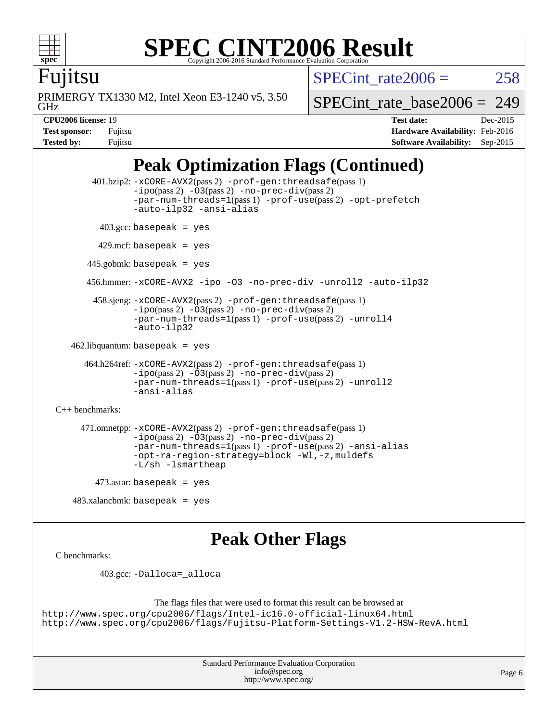

### **[SPEC CINT2006 Result](http://www.spec.org/auto/cpu2006/Docs/result-fields.html#SPECCINT2006Result)** Copyright 2006-2016 Standard Performance Evaluation C

SPECint rate $2006 = 258$ 

Fujitsu

GHz PRIMERGY TX1330 M2, Intel Xeon E3-1240 v5, 3.50 [SPECint\\_rate\\_base2006 =](http://www.spec.org/auto/cpu2006/Docs/result-fields.html#SPECintratebase2006) 249

| <b>Test sponsor:</b> | Fujitsu |
|----------------------|---------|
| Tested by:           | Fujitsu |

**[CPU2006 license:](http://www.spec.org/auto/cpu2006/Docs/result-fields.html#CPU2006license)** 19 **[Test date:](http://www.spec.org/auto/cpu2006/Docs/result-fields.html#Testdate)** Dec-2015 **[Hardware Availability:](http://www.spec.org/auto/cpu2006/Docs/result-fields.html#HardwareAvailability)** Feb-2016 **[Software Availability:](http://www.spec.org/auto/cpu2006/Docs/result-fields.html#SoftwareAvailability)** Sep-2015

## **[Peak Optimization Flags \(Continued\)](http://www.spec.org/auto/cpu2006/Docs/result-fields.html#PeakOptimizationFlags)**

```
 401.bzip2: -xCORE-AVX2(pass 2) -prof-gen:threadsafe(pass 1)
              -no-prec-div(pass 2)-par-num-threads=1(pass 1) -prof-use(pass 2) -opt-prefetch
              -auto-ilp32 -ansi-alias
        403.\text{gcc: basepeak} = yes
        429.mcf: basepeak = yes
      445.gobmk: basepeak = yes
      456.hmmer: -xCORE-AVX2 -ipo -O3 -no-prec-div -unroll2 -auto-ilp32
        458.sjeng: -xCORE-AVX2(pass 2) -prof-gen:threadsafe(pass 1)
              -no-prec-div(pass 2)-par-num-threads=1(pass 1) -prof-use(pass 2) -unroll4
              -auto-ilp32
  462.libquantum: basepeak = yes
      464.h264ref: -xCORE-AVX2(pass 2) -prof-gen:threadsafe(pass 1)
              -no-prec-div(pass 2)-par-num-threads=1(pass 1) -prof-use(pass 2) -unroll2
              -ansi-alias
C++ benchmarks: 
     471.omnetpp: -xCORE-AVX2(pass 2) -prof-gen:threadsafe(pass 1)
              -no-prec-div(pass 2)-par-num-threads=1(pass 1) -prof-use(pass 2) -ansi-alias
               -opt-ra-region-strategy=block -Wl,-z,muldefs
              -L/sh -lsmartheap
       473.astar: basepeak = yes
```
483.xalancbmk: basepeak = yes

### **[Peak Other Flags](http://www.spec.org/auto/cpu2006/Docs/result-fields.html#PeakOtherFlags)**

```
C benchmarks:
```
403.gcc: [-Dalloca=\\_alloca](http://www.spec.org/cpu2006/results/res2016q1/cpu2006-20160111-38704.flags.html#b403.gcc_peakEXTRA_CFLAGS_Dalloca_be3056838c12de2578596ca5467af7f3)

```
The flags files that were used to format this result can be browsed at
http://www.spec.org/cpu2006/flags/Intel-ic16.0-official-linux64.html
http://www.spec.org/cpu2006/flags/Fujitsu-Platform-Settings-V1.2-HSW-RevA.html
```